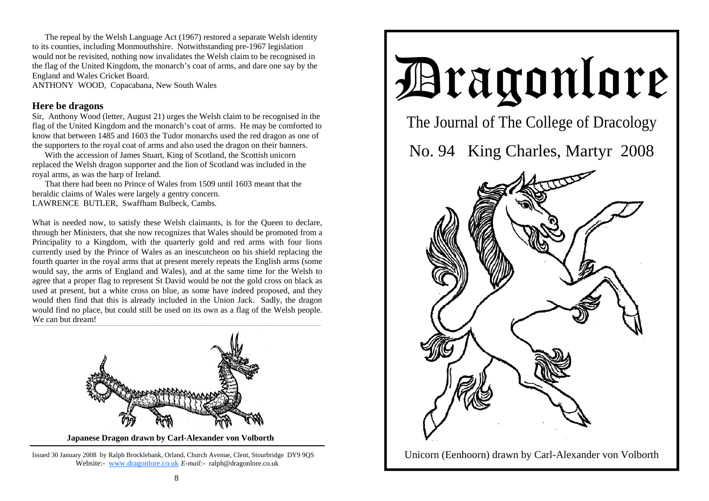The repeal by the Welsh Language Act (1967) restored a separate Welsh identity to its counties, including Monmouthshire. Notwithstanding pre-1967 legislation would not be revisited, nothing now invalidates the Welsh claim to be recognised in the flag of the United Kingdom, the monarch's coat of arms, and dare one say by the England and Wales Cricket Board.

ANTHONY WOOD, Copacabana, New South Wales

#### **Here be dragons**

Sir, Anthony Wood (letter, August 21) urges the Welsh claim to be recognised in the flag of the United Kingdom and the monarch's coat of arms. He may be comforted to know that between 1485 and 1603 the Tudor monarchs used the red dragon as one of the supporters to the royal coat of arms and also used the dragon on their banners.

 With the accession of James Stuart, King of Scotland, the Scottish unicorn replaced the Welsh dragon supporter and the lion of Scotland was included in the royal arms, as was the harp of Ireland.

 That there had been no Prince of Wales from 1509 until 1603 meant that the heraldic claims of Wales were largely a gentry concern. LAWRENCE BUTLER, Swaffham Bulbeck, Cambs.

What is needed now, to satisfy these Welsh claimants, is for the Queen to declare, through her Ministers, that she now recognizes that Wales should be promoted from a Principality to a Kingdom, with the quarterly gold and red arms with four lions currently used by the Prince of Wales as an inescutcheon on his shield replacing the fourth quarter in the royal arms that at present merely repeats the English arms (some would say, the arms of England and Wales), and at the same time for the Welsh to agree that a proper flag to represent St David would be not the gold cross on black as used at present, but a white cross on blue, as some have indeed proposed, and they would then find that this is already included in the Union Jack. Sadly, the dragon would find no place, but could still be used on its own as a flag of the Welsh people. We can but dream!



**Japanese Dragon drawn by Carl-Alexander von Volborth** 

Issued 30 January 2008 by Ralph Brocklebank, Orland, Church Avenue, Clent, Stourbridge DY9 9QS Website:- www.dragonlore.co.uk *E-mail:-* ralph@dragonlore.co.uk

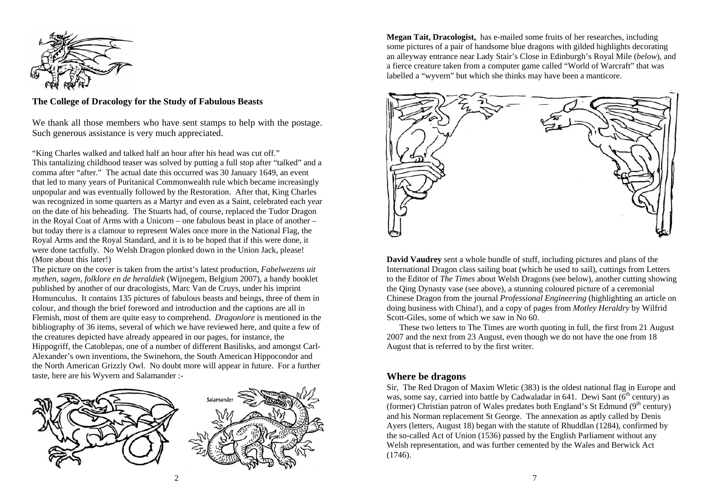

**The College of Dracology for the Study of Fabulous Beasts** 

We thank all those members who have sent stamps to help with the postage. Such generous assistance is very much appreciated.

"King Charles walked and talked half an hour after his head was cut off." This tantalizing childhood teaser was solved by putting a full stop after "talked" and a comma after "after." The actual date this occurred was 30 January 1649, an event that led to many years of Puritanical Commonwealth rule which became increasingly unpopular and was eventually followed by the Restoration. After that, King Charles was recognized in some quarters as a Martyr and even as a Saint, celebrated each year on the date of his beheading. The Stuarts had, of course, replaced the Tudor Dragon in the Royal Coat of Arms with a Unicorn – one fabulous beast in place of another – but today there is a clamour to represent Wales once more in the National Flag, the Royal Arms and the Royal Standard, and it is to be hoped that if this were done, it were done tactfully. No Welsh Dragon plonked down in the Union Jack, please! (More about this later!)

The picture on the cover is taken from the artist's latest production, *Fabelwezens uit mythen, sagen, folklore en de heraldiek* (Wijnegem, Belgium 2007), a handy booklet published by another of our dracologists, Marc Van de Cruys, under his imprint Homunculus. It contains 135 pictures of fabulous beasts and beings, three of them in colour, and though the brief foreword and introduction and the captions are all in Flemish, most of them are quite easy to comprehend. *Dragonlore* is mentioned in the bibliography of 36 items, several of which we have reviewed here, and quite a few of the creatures depicted have already appeared in our pages, for instance, the Hippogriff, the Catoblepas, one of a number of different Basilisks, and amongst Carl-Alexander's own inventions, the Swinehorn, the South American Hippocondor and the North American Grizzly Owl. No doubt more will appear in future. For a further taste, here are his Wyvern and Salamander :-





**Megan Tait, Dracologist,** has e-mailed some fruits of her researches, including some pictures of a pair of handsome blue dragons with gilded highlights decorating an alleyway entrance near Lady Stair's Close in Edinburgh's Royal Mile (*below*), and a fierce creature taken from a computer game called "World of Warcraft" that was labelled a "wyvern" but which she thinks may have been a manticore.



**David Vaudrey** sent a whole bundle of stuff, including pictures and plans of the International Dragon class sailing boat (which he used to sail), cuttings from Letters to the Editor of *The Times* about Welsh Dragons (see below), another cutting showing the Qing Dynasty vase (see above), a stunning coloured picture of a ceremonial Chinese Dragon from the journal *Professional Engineering* (highlighting an article on doing business with China!), and a copy of pages from *Motley Heraldry* by Wilfrid Scott-Giles, some of which we saw in No 60.

 These two letters to The Times are worth quoting in full, the first from 21 August 2007 and the next from 23 August, even though we do not have the one from 18 August that is referred to by the first writer.

#### **Where be dragons**

Sir, The Red Dragon of Maxim Wletic (383) is the oldest national flag in Europe and was, some say, carried into battle by Cadwaladar in 641. Dewi Sant ( $6<sup>th</sup>$  century) as (former) Christian patron of Wales predates both England's St Edmund ( $9<sup>th</sup>$  century) and his Norman replacement St George. The annexation as aptly called by Denis Ayers (letters, August 18) began with the statute of Rhuddlan (1284), confirmed by the so-called Act of Union (1536) passed by the English Parliament without any Welsh representation, and was further cemented by the Wales and Berwick Act (1746).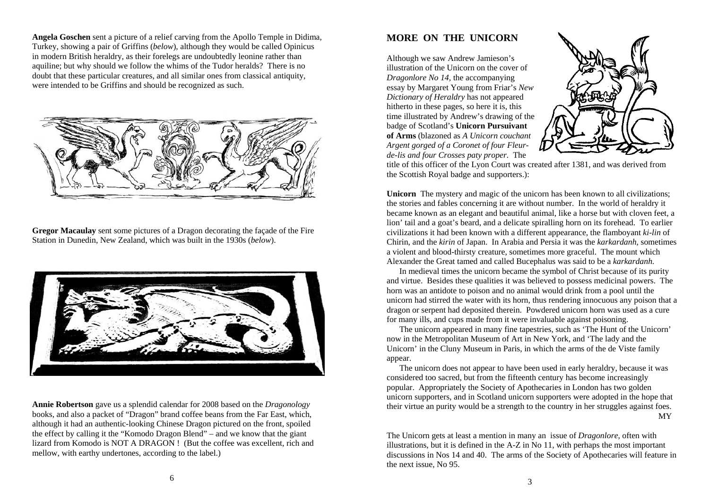**Angela Goschen** sent a picture of a relief carving from the Apollo Temple in Didima, Turkey, showing a pair of Griffins (*below*), although they would be called Opinicus in modern British heraldry, as their forelegs are undoubtedly leonine rather than aquiline; but why should we follow the whims of the Tudor heralds? There is no doubt that these particular creatures, and all similar ones from classical antiquity, were intended to be Griffins and should be recognized as such.



**Gregor Macaulay** sent some pictures of a Dragon decorating the façade of the Fire Station in Dunedin, New Zealand, which was built in the 1930s (*below*).



**Annie Robertson** gave us a splendid calendar for 2008 based on the *Dragonology* books, and also a packet of "Dragon" brand coffee beans from the Far East, which, although it had an authentic-looking Chinese Dragon pictured on the front, spoiled the effect by calling it the "Komodo Dragon Blend" – and we know that the giant lizard from Komodo is NOT A DRAGON ! (But the coffee was excellent, rich and mellow, with earthy undertones, according to the label.)

## **MORE ON THE UNICORN**

Although we saw Andrew Jamieson's illustration of the Unicorn on the cover of *Dragonlore No 14,* the accompanying essay by Margaret Young from Friar's *New Dictionary of Heraldry* has not appeared hitherto in these pages, so here it is, this time illustrated by Andrew's drawing of the badge of Scotland's **Unicorn Pursuivant of Arms** (blazoned as *A Unicorn couchant Argent gorged of a Coronet of four Fleurde-lis and four Crosses paty proper.* The



title of this officer of the Lyon Court was created after 1381, and was derived from the Scottish Royal badge and supporters.):

**Unicorn** The mystery and magic of the unicorn has been known to all civilizations; the stories and fables concerning it are without number. In the world of heraldry it became known as an elegant and beautiful animal, like a horse but with cloven feet, a lion' tail and a goat's beard, and a delicate spiralling horn on its forehead. To earlier civilizations it had been known with a different appearance, the flamboyant *ki-lin* of Chirin, and the *kirin* of Japan. In Arabia and Persia it was the *karkardanh,* sometimes a violent and blood-thirsty creature, sometimes more graceful. The mount which Alexander the Great tamed and called Bucephalus was said to be a *karkardanh.* 

In medieval times the unicorn became the symbol of Christ because of its purity and virtue. Besides these qualities it was believed to possess medicinal powers. The horn was an antidote to poison and no animal would drink from a pool until the unicorn had stirred the water with its horn, thus rendering innocuous any poison that a dragon or serpent had deposited therein. Powdered unicorn horn was used as a cure for many ills, and cups made from it were invaluable against poisoning.

 The unicorn appeared in many fine tapestries, such as 'The Hunt of the Unicorn' now in the Metropolitan Museum of Art in New York, and 'The lady and the Unicorn' in the Cluny Museum in Paris, in which the arms of the de Viste family appear.

 The unicorn does not appear to have been used in early heraldry, because it was considered too sacred, but from the fifteenth century has become increasingly popular. Appropriately the Society of Apothecaries in London has two golden unicorn supporters, and in Scotland unicorn supporters were adopted in the hope that their virtue an purity would be a strength to the country in her struggles against foes. MY

The Unicorn gets at least a mention in many an issue of *Dragonlore*, often with illustrations, but it is defined in the A-Z in No 11, with perhaps the most important discussions in Nos 14 and 40. The arms of the Society of Apothecaries will feature in the next issue, No 95.